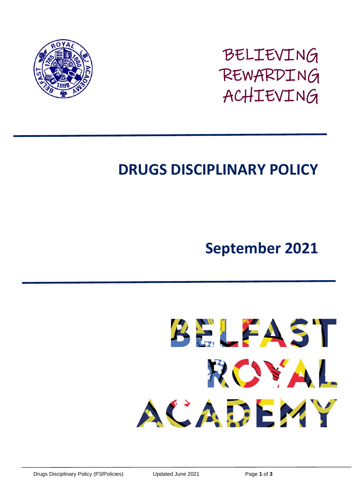

BELIEVING REWARDING ACHIEVING

## **DRUGS DISCIPLINARY POLICY**

## **September 2021**

**BELFAST** ROYAL ACADEMY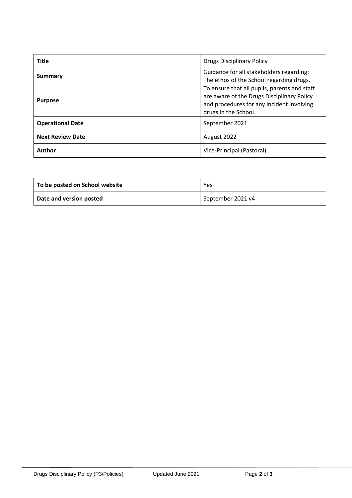| <b>Title</b>            | <b>Drugs Disciplinary Policy</b>                                                                                                                                |
|-------------------------|-----------------------------------------------------------------------------------------------------------------------------------------------------------------|
| Summary                 | Guidance for all stakeholders regarding:<br>The ethos of the School regarding drugs.                                                                            |
| <b>Purpose</b>          | To ensure that all pupils, parents and staff<br>are aware of the Drugs Disciplinary Policy<br>and procedures for any incident involving<br>drugs in the School. |
| <b>Operational Date</b> | September 2021                                                                                                                                                  |
| <b>Next Review Date</b> | August 2022                                                                                                                                                     |
| Author                  | Vice-Principal (Pastoral)                                                                                                                                       |

| To be posted on School website | Yes               |
|--------------------------------|-------------------|
| Date and version posted        | September 2021 v4 |